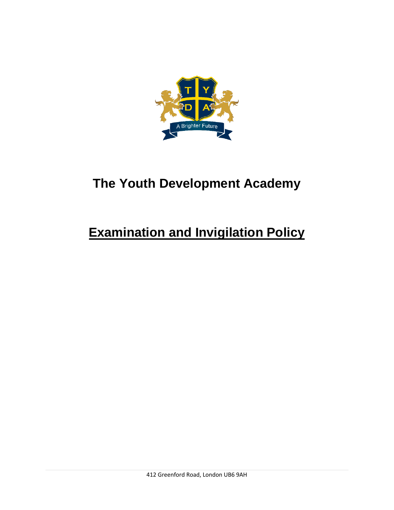

# **The Youth Development Academy**

# **Examination and Invigilation Policy**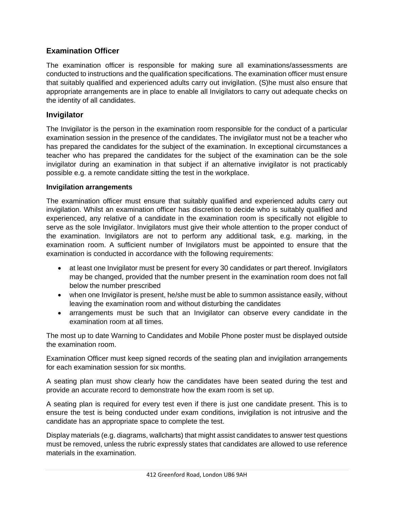# **Examination Officer**

The examination officer is responsible for making sure all examinations/assessments are conducted to instructions and the qualification specifications. The examination officer must ensure that suitably qualified and experienced adults carry out invigilation. (S)he must also ensure that appropriate arrangements are in place to enable all Invigilators to carry out adequate checks on the identity of all candidates.

# **Invigilator**

The Invigilator is the person in the examination room responsible for the conduct of a particular examination session in the presence of the candidates. The invigilator must not be a teacher who has prepared the candidates for the subject of the examination. In exceptional circumstances a teacher who has prepared the candidates for the subject of the examination can be the sole invigilator during an examination in that subject if an alternative invigilator is not practicably possible e.g. a remote candidate sitting the test in the workplace.

## **Invigilation arrangements**

The examination officer must ensure that suitably qualified and experienced adults carry out invigilation. Whilst an examination officer has discretion to decide who is suitably qualified and experienced, any relative of a candidate in the examination room is specifically not eligible to serve as the sole Invigilator. Invigilators must give their whole attention to the proper conduct of the examination. Invigilators are not to perform any additional task, e.g. marking, in the examination room. A sufficient number of Invigilators must be appointed to ensure that the examination is conducted in accordance with the following requirements:

- at least one Invigilator must be present for every 30 candidates or part thereof. Invigilators may be changed, provided that the number present in the examination room does not fall below the number prescribed
- when one Invigilator is present, he/she must be able to summon assistance easily, without leaving the examination room and without disturbing the candidates
- arrangements must be such that an Invigilator can observe every candidate in the examination room at all times.

The most up to date Warning to Candidates and Mobile Phone poster must be displayed outside the examination room.

Examination Officer must keep signed records of the seating plan and invigilation arrangements for each examination session for six months.

A seating plan must show clearly how the candidates have been seated during the test and provide an accurate record to demonstrate how the exam room is set up.

A seating plan is required for every test even if there is just one candidate present. This is to ensure the test is being conducted under exam conditions, invigilation is not intrusive and the candidate has an appropriate space to complete the test.

Display materials (e.g. diagrams, wallcharts) that might assist candidates to answer test questions must be removed, unless the rubric expressly states that candidates are allowed to use reference materials in the examination.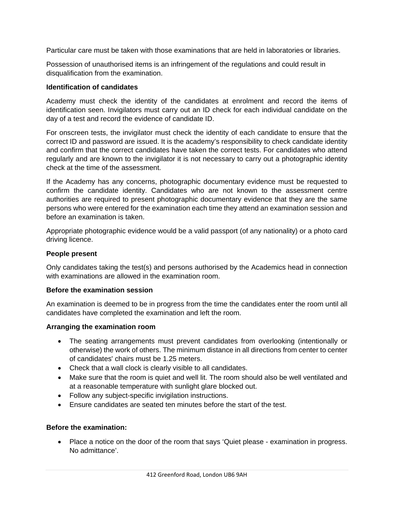Particular care must be taken with those examinations that are held in laboratories or libraries.

Possession of unauthorised items is an infringement of the regulations and could result in disqualification from the examination.

## **Identification of candidates**

Academy must check the identity of the candidates at enrolment and record the items of identification seen. Invigilators must carry out an ID check for each individual candidate on the day of a test and record the evidence of candidate ID.

For onscreen tests, the invigilator must check the identity of each candidate to ensure that the correct ID and password are issued. It is the academy's responsibility to check candidate identity and confirm that the correct candidates have taken the correct tests. For candidates who attend regularly and are known to the invigilator it is not necessary to carry out a photographic identity check at the time of the assessment.

If the Academy has any concerns, photographic documentary evidence must be requested to confirm the candidate identity. Candidates who are not known to the assessment centre authorities are required to present photographic documentary evidence that they are the same persons who were entered for the examination each time they attend an examination session and before an examination is taken.

Appropriate photographic evidence would be a valid passport (of any nationality) or a photo card driving licence.

## **People present**

Only candidates taking the test(s) and persons authorised by the Academics head in connection with examinations are allowed in the examination room.

## **Before the examination session**

An examination is deemed to be in progress from the time the candidates enter the room until all candidates have completed the examination and left the room.

#### **Arranging the examination room**

- The seating arrangements must prevent candidates from overlooking (intentionally or otherwise) the work of others. The minimum distance in all directions from center to center of candidates' chairs must be 1.25 meters.
- Check that a wall clock is clearly visible to all candidates.
- Make sure that the room is quiet and well lit. The room should also be well ventilated and at a reasonable temperature with sunlight glare blocked out.
- Follow any subject-specific invigilation instructions.
- Ensure candidates are seated ten minutes before the start of the test.

# **Before the examination:**

• Place a notice on the door of the room that says 'Quiet please - examination in progress. No admittance'.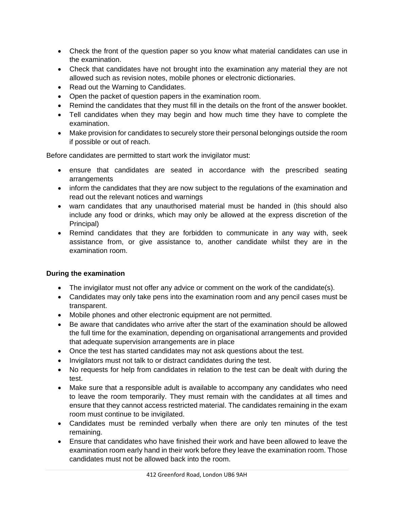- Check the front of the question paper so you know what material candidates can use in the examination.
- Check that candidates have not brought into the examination any material they are not allowed such as revision notes, mobile phones or electronic dictionaries.
- Read out the Warning to Candidates.
- Open the packet of question papers in the examination room.
- Remind the candidates that they must fill in the details on the front of the answer booklet.
- Tell candidates when they may begin and how much time they have to complete the examination.
- Make provision for candidates to securely store their personal belongings outside the room if possible or out of reach.

Before candidates are permitted to start work the invigilator must:

- ensure that candidates are seated in accordance with the prescribed seating arrangements
- inform the candidates that they are now subject to the regulations of the examination and read out the relevant notices and warnings
- warn candidates that any unauthorised material must be handed in (this should also include any food or drinks, which may only be allowed at the express discretion of the Principal)
- Remind candidates that they are forbidden to communicate in any way with, seek assistance from, or give assistance to, another candidate whilst they are in the examination room.

# **During the examination**

- The invigilator must not offer any advice or comment on the work of the candidate(s).
- Candidates may only take pens into the examination room and any pencil cases must be transparent.
- Mobile phones and other electronic equipment are not permitted.
- Be aware that candidates who arrive after the start of the examination should be allowed the full time for the examination, depending on organisational arrangements and provided that adequate supervision arrangements are in place
- Once the test has started candidates may not ask questions about the test.
- Invigilators must not talk to or distract candidates during the test.
- No requests for help from candidates in relation to the test can be dealt with during the test.
- Make sure that a responsible adult is available to accompany any candidates who need to leave the room temporarily. They must remain with the candidates at all times and ensure that they cannot access restricted material. The candidates remaining in the exam room must continue to be invigilated.
- Candidates must be reminded verbally when there are only ten minutes of the test remaining.
- Ensure that candidates who have finished their work and have been allowed to leave the examination room early hand in their work before they leave the examination room. Those candidates must not be allowed back into the room.